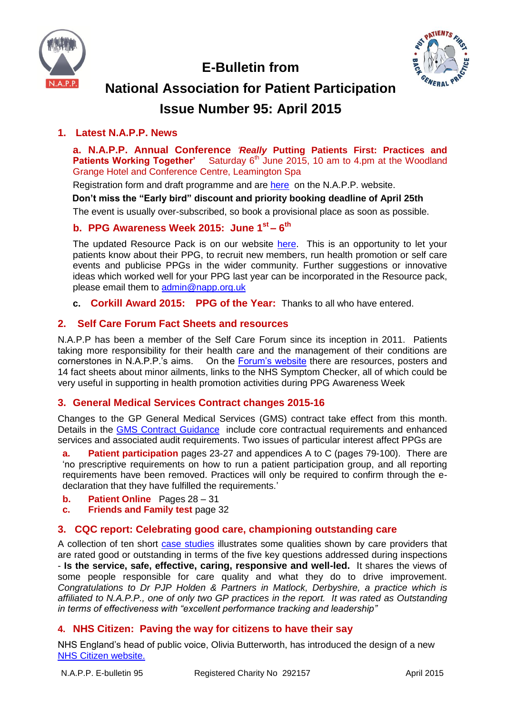

 **E-Bulletin from**



# **National Association for Patient Participation Issue Number 95: April 2015**

## **1. Latest N.A.P.P. News**

**a. N.A.P.P. Annual Conference** *'Really* **Putting Patients First: Practices and Patients Working Together'** Saturday 6<sup>th</sup> June 2015, 10 am to 4.pm at the Woodland Grange Hotel and Conference Centre, Leamington Spa

Registration form and draft programme and are [here](http://www.napp.org.uk/conference.html) on the N.A.P.P. website.

**Don't miss the "Early bird" discount and priority booking deadline of April 25th**

The event is usually over-subscribed, so book a provisional place as soon as possible.

## **b. PPG Awareness Week 2015: June 1st – 6 th**

The updated Resource Pack is on our website [here.](http://www.napp.org.uk/ppgawarenessweek.html) This is an opportunity to let your patients know about their PPG, to recruit new members, run health promotion or self care events and publicise PPGs in the wider community. Further suggestions or innovative ideas which worked well for your PPG last year can be incorporated in the Resource pack, please email them to [admin@napp.org.uk](mailto:admin@napp.org.uk)

**c. Corkill Award 2015: PPG of the Year:** Thanks to all who have entered.

## **2. Self Care Forum Fact Sheets and resources**

N.A.P.P has been a member of the Self Care Forum since its inception in 2011. Patients taking more responsibility for their health care and the management of their conditions are cornerstones in N.A.P.P.'s aims. On the [Forum's website](http://www.selfcareforum.org/) there are resources, posters and 14 fact sheets about minor ailments, links to the NHS Symptom Checker, all of which could be very useful in supporting in health promotion activities during PPG Awareness Week

## **3. General Medical Services Contract changes 2015-16**

Changes to the GP General Medical Services (GMS) contract take effect from this month. Details in the **GMS Contract Guidance** include core contractual requirements and enhanced services and associated audit requirements. Two issues of particular interest affect PPGs are

**a. Patient participation** pages 23-27 and appendices A to C (pages 79-100). There are 'no prescriptive requirements on how to run a patient participation group, and all reporting requirements have been removed. Practices will only be required to confirm through the edeclaration that they have fulfilled the requirements.'

- **b. Patient Online** Pages 28 31
- **c. Friends and Family test** page 32

## **3. CQC report: Celebrating good care, championing outstanding care**

A collection of ten short [case studies](http://www.cqc.org.uk/content/celebrating-good-care-championing-outstanding-care-1) illustrates some qualities shown by care providers that are rated good or outstanding in terms of the five key questions addressed during inspections - **Is the service, safe, effective, caring, responsive and well-led.** It shares the views of some people responsible for care quality and what they do to drive improvement. *Congratulations to Dr PJP Holden & Partners in Matlock, Derbyshire, a practice which is affiliated to N.A.P.P., one of only two GP practices in the report. It was rated as Outstanding in terms of effectiveness with "excellent performance tracking and leadership"*

## **4. NHS Citizen: Paving the way for citizens to have their say**

NHS England's head of public voice, Olivia Butterworth, has introduced the design of a new [NHS Citizen website.](http://www.england.nhs.uk/2015/04/10/olivia-butterworth-7/)